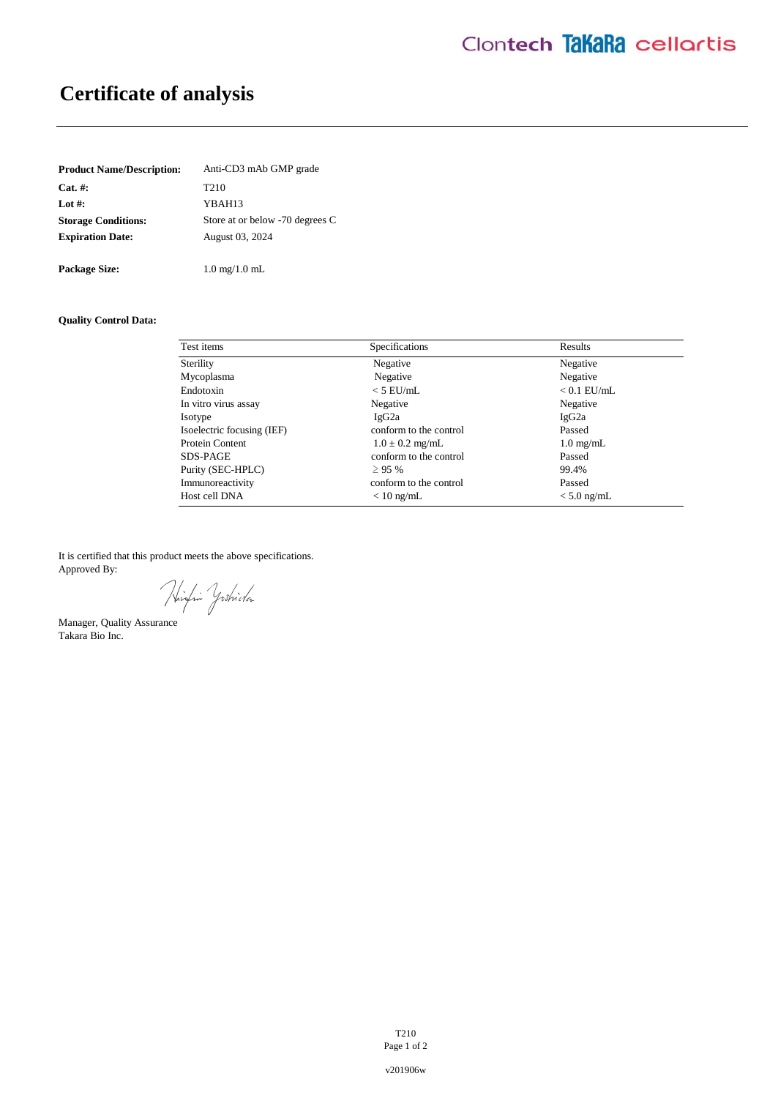# **Certificate of analysis**

| <b>Product Name/Description:</b> | Anti-CD3 mAb GMP grade          |  |
|----------------------------------|---------------------------------|--|
| $Cat. \#:$                       | T <sub>2</sub> 10               |  |
| Lot $#$ :                        | YBAH13                          |  |
| <b>Storage Conditions:</b>       | Store at or below -70 degrees C |  |
| <b>Expiration Date:</b>          | August 03, 2024                 |  |
|                                  |                                 |  |
| <b>Package Size:</b>             | $1.0 \text{ mg}/1.0 \text{ mL}$ |  |

# **Quality Control Data:**

| Test items                 | Specifications         | Results             |
|----------------------------|------------------------|---------------------|
| Sterility                  | Negative               | Negative            |
| Mycoplasma                 | Negative               | Negative            |
| Endotoxin                  | $<$ 5 EU/mL            | $< 0.1$ EU/mL       |
| In vitro virus assay       | Negative               | Negative            |
| Isotype                    | IgG2a                  | IgG <sub>2a</sub>   |
| Isoelectric focusing (IEF) | conform to the control | Passed              |
| Protein Content            | $1.0 \pm 0.2$ mg/mL    | $1.0 \text{ mg/mL}$ |
| SDS-PAGE                   | conform to the control | Passed              |
| Purity (SEC-HPLC)          | >95%                   | 99.4%               |
| Immunoreactivity           | conform to the control | Passed              |
| Host cell DNA              | $< 10$ ng/mL           | $< 5.0$ ng/mL       |

It is certified that this product meets the above specifications. Approved By:

Hinfin Yoshida

Manager, Quality Assurance Takara Bio Inc.

T210 Page 1 of 2

v201906w